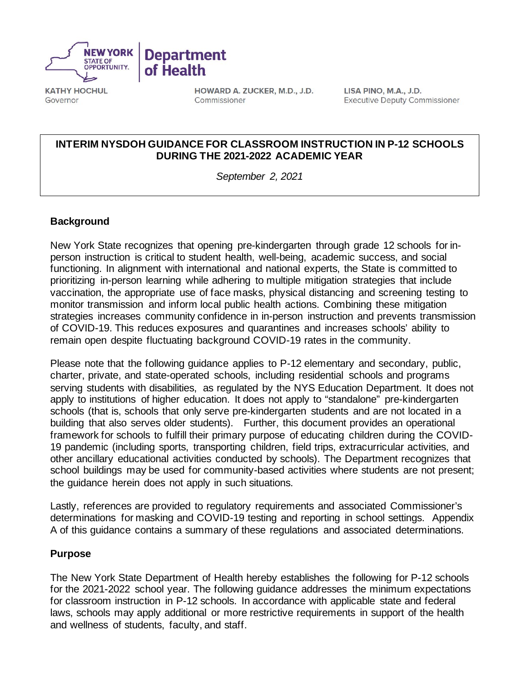

**KATHY HOCHUL** Governor

HOWARD A. ZUCKER, M.D., J.D. Commissioner

LISA PINO, M.A., J.D. **Executive Deputy Commissioner** 

## **INTERIM NYSDOH GUIDANCE FOR CLASSROOM INSTRUCTION IN P-12 SCHOOLS DURING THE 2021-2022 ACADEMIC YEAR**

*September 2, 2021*

## **Background**

New York State recognizes that opening pre-kindergarten through grade 12 schools for inperson instruction is critical to student health, well-being, academic success, and social functioning. In alignment with international and national experts, the State is committed to prioritizing in-person learning while adhering to multiple mitigation strategies that include vaccination, the appropriate use of face masks, physical distancing and screening testing to monitor transmission and inform local public health actions. Combining these mitigation strategies increases community confidence in in-person instruction and prevents transmission of COVID-19. This reduces exposures and quarantines and increases schools' ability to remain open despite fluctuating background COVID-19 rates in the community.

Please note that the following guidance applies to P-12 elementary and secondary, public, charter, private, and state-operated schools, including residential schools and programs serving students with disabilities, as regulated by the NYS Education Department. It does not apply to institutions of higher education. It does not apply to "standalone" pre-kindergarten schools (that is, schools that only serve pre-kindergarten students and are not located in a building that also serves older students). Further, this document provides an operational framework for schools to fulfill their primary purpose of educating children during the COVID-19 pandemic (including sports, transporting children, field trips, extracurricular activities, and other ancillary educational activities conducted by schools). The Department recognizes that school buildings may be used for community-based activities where students are not present; the guidance herein does not apply in such situations.

Lastly, references are provided to regulatory requirements and associated Commissioner's determinations for masking and COVID-19 testing and reporting in school settings. Appendix A of this guidance contains a summary of these regulations and associated determinations.

#### **Purpose**

The New York State Department of Health hereby establishes the following for P-12 schools for the 2021-2022 school year. The following guidance addresses the minimum expectations for classroom instruction in P-12 schools. In accordance with applicable state and federal laws, schools may apply additional or more restrictive requirements in support of the health and wellness of students, faculty, and staff.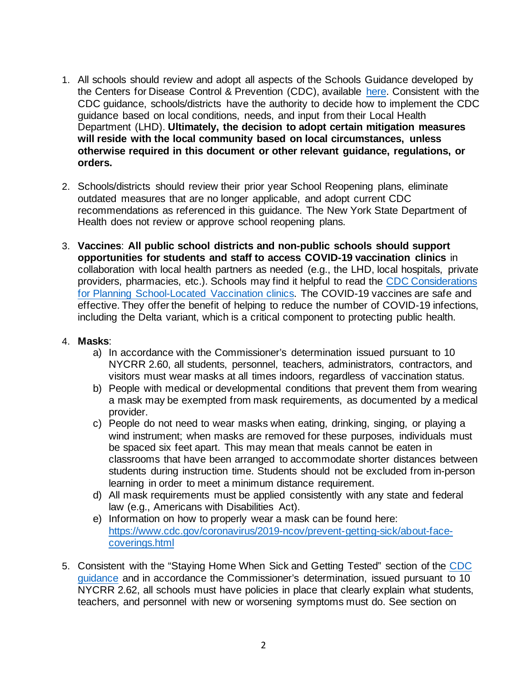- 1. All schools should review and adopt all aspects of the Schools Guidance developed by the Centers for Disease Control & Prevention (CDC), available [here.](https://www.cdc.gov/coronavirus/2019-ncov/community/schools-childcare/index.html) Consistent with the CDC guidance, schools/districts have the authority to decide how to implement the CDC guidance based on local conditions, needs, and input from their Local Health Department (LHD). **Ultimately, the decision to adopt certain mitigation measures will reside with the local community based on local circumstances, unless otherwise required in this document or other relevant guidance, regulations, or orders.**
- 2. Schools/districts should review their prior year School Reopening plans, eliminate outdated measures that are no longer applicable, and adopt current CDC recommendations as referenced in this guidance. The New York State Department of Health does not review or approve school reopening plans.
- 3. **Vaccines**: **All public school districts and non-public schools should support opportunities for students and staff to access COVID-19 vaccination clinics** in collaboration with local health partners as needed (e.g., the LHD, local hospitals, private providers, pharmacies, etc.). Schools may find it helpful to read the [CDC Considerations](https://www.cdc.gov/vaccines/covid-19/planning/school-located-clinics.html)  [for Planning School-Located Vaccination clinics.](https://www.cdc.gov/vaccines/covid-19/planning/school-located-clinics.html) The COVID-19 vaccines are safe and effective. They offer the benefit of helping to reduce the number of COVID-19 infections, including the Delta variant, which is a critical component to protecting public health.

## 4. **Masks**:

- a) In accordance with the Commissioner's determination issued pursuant to 10 NYCRR 2.60, all students, personnel, teachers, administrators, contractors, and visitors must wear masks at all times indoors, regardless of vaccination status.
- b) People with medical or developmental conditions that prevent them from wearing a mask may be exempted from mask requirements, as documented by a medical provider.
- c) People do not need to wear masks when eating, drinking, singing, or playing a wind instrument; when masks are removed for these purposes, individuals must be spaced six feet apart. This may mean that meals cannot be eaten in classrooms that have been arranged to accommodate shorter distances between students during instruction time. Students should not be excluded from in-person learning in order to meet a minimum distance requirement.
- d) All mask requirements must be applied consistently with any state and federal law (e.g., Americans with Disabilities Act).
- e) Information on how to properly wear a mask can be found here: [https://www.cdc.gov/coronavirus/2019-ncov/prevent-getting-sick/about-face](https://www.cdc.gov/coronavirus/2019-ncov/prevent-getting-sick/about-face-coverings.html)[coverings.html](https://www.cdc.gov/coronavirus/2019-ncov/prevent-getting-sick/about-face-coverings.html)
- 5. Consistent with the "Staying Home When Sick and Getting Tested" section of the [CDC](https://www.cdc.gov/coronavirus/2019-ncov/community/schools-childcare/k-12-guidance.html#staying-home)  [guidance](https://www.cdc.gov/coronavirus/2019-ncov/community/schools-childcare/k-12-guidance.html#staying-home) and in accordance the Commissioner's determination, issued pursuant to 10 NYCRR 2.62, all schools must have policies in place that clearly explain what students, teachers, and personnel with new or worsening symptoms must do. See section on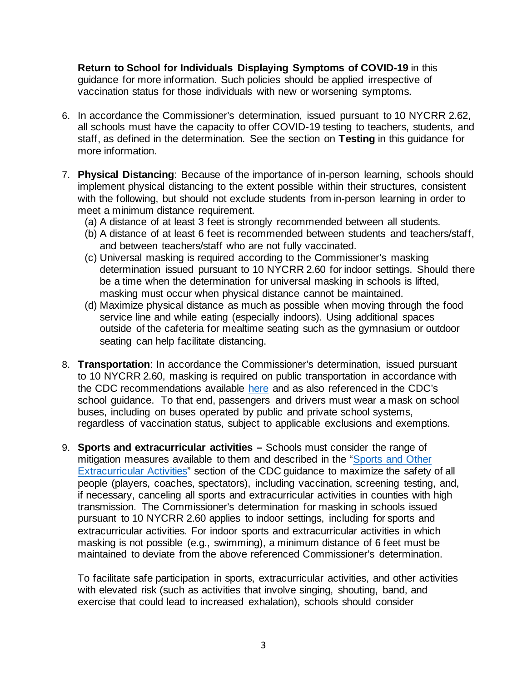**Return to School for Individuals Displaying Symptoms of COVID-19** in this guidance for more information. Such policies should be applied irrespective of vaccination status for those individuals with new or worsening symptoms.

- 6. In accordance the Commissioner's determination, issued pursuant to 10 NYCRR 2.62, all schools must have the capacity to offer COVID-19 testing to teachers, students, and staff, as defined in the determination. See the section on **Testing** in this guidance for more information.
- 7. **Physical Distancing**: Because of the importance of in-person learning, schools should implement physical distancing to the extent possible within their structures, consistent with the following, but should not exclude students from in-person learning in order to meet a minimum distance requirement.
	- (a) A distance of at least 3 feet is strongly recommended between all students.
	- (b) A distance of at least 6 feet is recommended between students and teachers/staff, and between teachers/staff who are not fully vaccinated.
	- (c) Universal masking is required according to the Commissioner's masking determination issued pursuant to 10 NYCRR 2.60 for indoor settings. Should there be a time when the determination for universal masking in schools is lifted, masking must occur when physical distance cannot be maintained.
	- (d) Maximize physical distance as much as possible when moving through the food service line and while eating (especially indoors). Using additional spaces outside of the cafeteria for mealtime seating such as the gymnasium or outdoor seating can help facilitate distancing.
- 8. **Transportation**: In accordance the Commissioner's determination, issued pursuant to 10 NYCRR 2.60, masking is required on public transportation in accordance with the CDC recommendations available [here](https://www.cdc.gov/coronavirus/2019-ncov/travelers/face-masks-public-transportation.html) and as also referenced in the CDC's school guidance. To that end, passengers and drivers must wear a mask on school buses, including on buses operated by public and private school systems, regardless of vaccination status, subject to applicable exclusions and exemptions.
- 9. **Sports and extracurricular activities –** Schools must consider the range of mitigation measures available to them and described in the ["Sports and Other](https://www.cdc.gov/coronavirus/2019-ncov/community/schools-childcare/k-12-guidance.html)  [Extracurricular Activities"](https://www.cdc.gov/coronavirus/2019-ncov/community/schools-childcare/k-12-guidance.html) section of the CDC guidance to maximize the safety of all people (players, coaches, spectators), including vaccination, screening testing, and, if necessary, canceling all sports and extracurricular activities in counties with high transmission. The Commissioner's determination for masking in schools issued pursuant to 10 NYCRR 2.60 applies to indoor settings, including for sports and extracurricular activities. For indoor sports and extracurricular activities in which masking is not possible (e.g., swimming), a minimum distance of 6 feet must be maintained to deviate from the above referenced Commissioner's determination.

To facilitate safe participation in sports, extracurricular activities, and other activities with elevated risk (such as activities that involve singing, shouting, band, and exercise that could lead to increased exhalation), schools should consider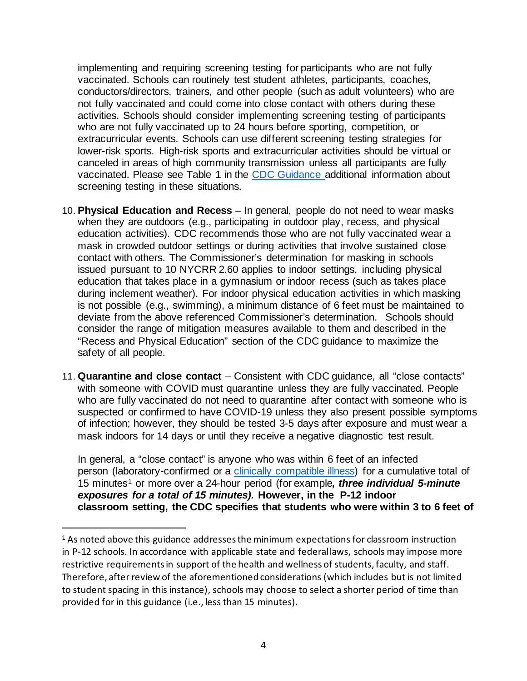implementing and requiring screening testing for participants who are not fully vaccinated. Schools can routinely test student athletes, participants, coaches, conductors/directors, trainers, and other people (such as adult volunteers) who are not fully vaccinated and could come into close contact with others during these activities. Schools should consider implementing screening testing of participants who are not fully vaccinated up to 24 hours before sporting, competition, or extracurricular events. Schools can use different screening testing strategies for lower-risk sports. High-risk sports and extracurricular activities should be virtual or canceled in areas of high community transmission unless all participants are fully vaccinated. Please see Table 1 in the [CDC Guidance a](https://www.cdc.gov/coronavirus/2019-ncov/community/schools-childcare/k-12-guidance.html#anchor_1625662107144)dditional information about screening testing in these situations.

- 10. **Physical Education and Recess** In general, people do not need to wear masks when they are outdoors (e.g., participating in outdoor play, recess, and physical education activities). CDC recommends those who are not fully vaccinated wear a mask in crowded outdoor settings or during activities that involve sustained close contact with others. The Commissioner's determination for masking in schools issued pursuant to 10 NYCRR 2.60 applies to indoor settings, including physical education that takes place in a gymnasium or indoor recess (such as takes place during inclement weather). For indoor physical education activities in which masking is not possible (e.g., swimming), a minimum distance of 6 feet must be maintained to deviate from the above referenced Commissioner's determination. Schools should consider the range of mitigation measures available to them and described in the "Recess and Physical Education" section of the CDC guidance to maximize the safety of all people.
- 11. **Quarantine and close contact** Consistent with CDC guidance, all "close contacts" with someone with COVID must quarantine unless they are fully vaccinated. People who are fully vaccinated do not need to quarantine after contact with someone who is suspected or confirmed to have COVID-19 unless they also present possible symptoms of infection; however, they should be tested 3-5 days after exposure and must wear a mask indoors for 14 days or until they receive a negative diagnostic test result.

In general, a "close contact" is anyone who was within 6 feet of an infected person (laboratory-confirmed or a [clinically compatible illness\)](https://www.cdc.gov/coronavirus/2019-ncov/hcp/clinical-guidance-management-patients.html) for a cumulative total of 15 minutes[1](#page-3-0) or more over a 24-hour period (for example*, three individual 5-minute exposures for a total of 15 minutes).* **However, in the P-12 indoor classroom setting, the CDC specifies that students who were within 3 to 6 feet of** 

<span id="page-3-0"></span><sup>&</sup>lt;sup>1</sup> As noted above this guidance addresses the minimum expectations for classroom instruction in P-12 schools. In accordance with applicable state and federal laws, schools may impose more restrictive requirements in support of the health and wellness of students, faculty, and staff. Therefore, after review of the aforementioned considerations (which includes but is not limited to student spacing in this instance), schools may choose to select a shorter period of time than provided for in this guidance (i.e., less than 15 minutes).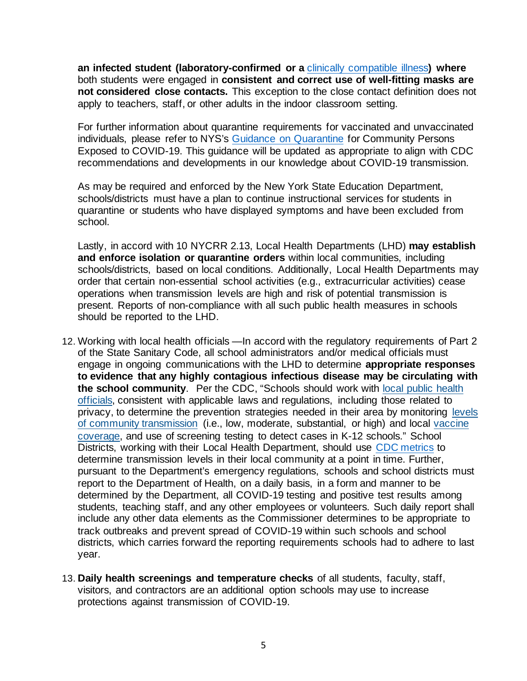**an infected student (laboratory-confirmed or a** [clinically compatible illness](https://www.cdc.gov/coronavirus/2019-ncov/hcp/clinical-guidance-management-patients.html)**) where**  both students were engaged in **consistent and correct use of well-fitting masks are not considered close contacts.** This exception to the close contact definition does not apply to teachers, staff, or other adults in the indoor classroom setting.

For further information about quarantine requirements for vaccinated and unvaccinated individuals, please refer to NYS's Guidance on [Quarantine](https://coronavirus.health.ny.gov/system/files/documents/2021/04/update-interim-guidance-for-community-exposure-quarantine_042221.pdf) for Community Persons Exposed to COVID-19. This guidance will be updated as appropriate to align with CDC recommendations and developments in our knowledge about COVID-19 transmission.

As may be required and enforced by the New York State Education Department, schools/districts must have a plan to continue instructional services for students in quarantine or students who have displayed symptoms and have been excluded from school.

Lastly, in accord with 10 NYCRR 2.13, Local Health Departments (LHD) **may establish and enforce isolation or quarantine orders** within local communities, including schools/districts, based on local conditions. Additionally, Local Health Departments may order that certain non-essential school activities (e.g., extracurricular activities) cease operations when transmission levels are high and risk of potential transmission is present. Reports of non-compliance with all such public health measures in schools should be reported to the LHD.

- 12. Working with local health officials —In accord with the regulatory requirements of Part 2 of the State Sanitary Code, all school administrators and/or medical officials must engage in ongoing communications with the LHD to determine **appropriate responses to evidence that any highly contagious infectious disease may be circulating with the school community**. Per the CDC, "Schools should work with [local public health](https://www.cdc.gov/publichealthgateway/healthdirectories/index.html)  [officials,](https://www.cdc.gov/publichealthgateway/healthdirectories/index.html) consistent with applicable laws and regulations, including those related to privacy, to determine the prevention strategies needed in their area by monitoring [levels](https://covid.cdc.gov/covid-data-tracker/#county-view)  [of community transmission](https://covid.cdc.gov/covid-data-tracker/#county-view) (i.e., low, moderate, substantial, or high) and local [vaccine](https://covid.cdc.gov/covid-data-tracker/#vaccinations-county-view)  [coverage,](https://covid.cdc.gov/covid-data-tracker/#vaccinations-county-view) and use of screening testing to detect cases in K-12 schools." School Districts, working with their Local Health Department, should use [CDC metrics](https://covid.cdc.gov/covid-data-tracker/#county-view) to determine transmission levels in their local community at a point in time. Further, pursuant to the Department's emergency regulations, schools and school districts must report to the Department of Health, on a daily basis, in a form and manner to be determined by the Department, all COVID-19 testing and positive test results among students, teaching staff, and any other employees or volunteers. Such daily report shall include any other data elements as the Commissioner determines to be appropriate to track outbreaks and prevent spread of COVID-19 within such schools and school districts, which carries forward the reporting requirements schools had to adhere to last year.
- 13. **Daily health screenings and temperature checks** of all students, faculty, staff, visitors, and contractors are an additional option schools may use to increase protections against transmission of COVID-19.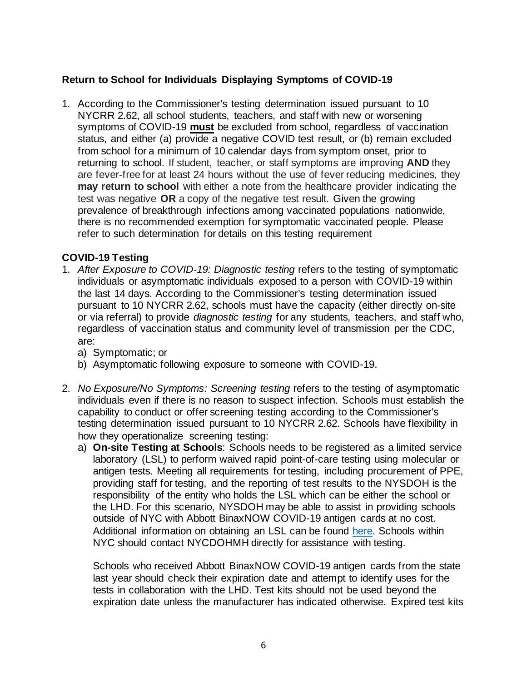## **Return to School for Individuals Displaying Symptoms of COVID-19**

1. According to the Commissioner's testing determination issued pursuant to 10 NYCRR 2.62, all school students, teachers, and staff with new or worsening symptoms of COVID-19 **must** be excluded from school, regardless of vaccination status, and either (a) provide a negative COVID test result, or (b) remain excluded from school for a minimum of 10 calendar days from symptom onset, prior to returning to school. If student, teacher, or staff symptoms are improving **AND** they are fever-free for at least 24 hours without the use of fever reducing medicines, they **may return to school** with either a note from the healthcare provider indicating the test was negative **OR** a copy of the negative test result. Given the growing prevalence of breakthrough infections among vaccinated populations nationwide, there is no recommended exemption for symptomatic vaccinated people. Please refer to such determination for details on this testing requirement

## **COVID-19 Testing**

- 1. *After Exposure to COVID-19: Diagnostic testing* refers to the testing of symptomatic individuals or asymptomatic individuals exposed to a person with COVID-19 within the last 14 days. According to the Commissioner's testing determination issued pursuant to 10 NYCRR 2.62, schools must have the capacity (either directly on-site or via referral) to provide *diagnostic testing* for any students, teachers, and staff who, regardless of vaccination status and community level of transmission per the CDC, are:
	- a) Symptomatic; or
	- b) Asymptomatic following exposure to someone with COVID-19.
- 2. *No Exposure/No Symptoms: Screening testing* refers to the testing of asymptomatic individuals even if there is no reason to suspect infection. Schools must establish the capability to conduct or offer screening testing according to the Commissioner's testing determination issued pursuant to 10 NYCRR 2.62. Schools have flexibility in how they operationalize screening testing:
	- a) **On-site Testing at Schools**: Schools needs to be registered as a limited service laboratory (LSL) to perform waived rapid point-of-care testing using molecular or antigen tests. Meeting all requirements for testing, including procurement of PPE, providing staff for testing, and the reporting of test results to the NYSDOH is the responsibility of the entity who holds the LSL which can be either the school or the LHD. For this scenario, NYSDOH may be able to assist in providing schools outside of NYC with Abbott BinaxNOW COVID-19 antigen cards at no cost. Additional information on obtaining an LSL can be found [here.](https://www.wadsworth.org/regulatory/clep/limited-service-labs) Schools within NYC should contact NYCDOHMH directly for assistance with testing.

Schools who received Abbott BinaxNOW COVID-19 antigen cards from the state last year should check their expiration date and attempt to identify uses for the tests in collaboration with the LHD. Test kits should not be used beyond the expiration date unless the manufacturer has indicated otherwise. Expired test kits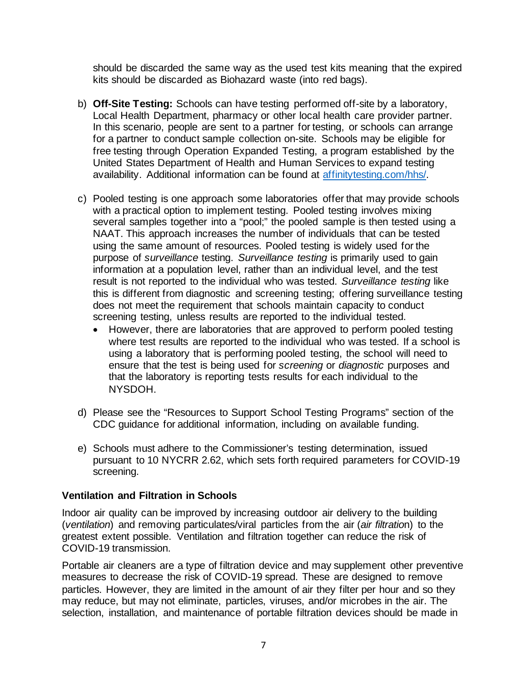should be discarded the same way as the used test kits meaning that the expired kits should be discarded as Biohazard waste (into red bags).

- b) **Off-Site Testing:** Schools can have testing performed off-site by a laboratory, Local Health Department, pharmacy or other local health care provider partner. In this scenario, people are sent to a partner for testing, or schools can arrange for a partner to conduct sample collection on-site. Schools may be eligible for free testing through Operation Expanded Testing, a program established by the United States Department of Health and Human Services to expand testing availability. Additional information can be found at [affinitytesting.com/hhs/.](http://affinitytesting.com/hhs/)
- c) Pooled testing is one approach some laboratories offer that may provide schools with a practical option to implement testing. Pooled testing involves mixing several samples together into a "pool;" the pooled sample is then tested using a NAAT. This approach increases the number of individuals that can be tested using the same amount of resources. Pooled testing is widely used for the purpose of *surveillance* testing. *Surveillance testing* is primarily used to gain information at a population level, rather than an individual level, and the test result is not reported to the individual who was tested. *Surveillance testing* like this is different from diagnostic and screening testing; offering surveillance testing does not meet the requirement that schools maintain capacity to conduct screening testing, unless results are reported to the individual tested.
	- However, there are laboratories that are approved to perform pooled testing where test results are reported to the individual who was tested. If a school is using a laboratory that is performing pooled testing, the school will need to ensure that the test is being used for *screening* or *diagnostic* purposes and that the laboratory is reporting tests results for each individual to the NYSDOH.
- d) Please see the "Resources to Support School Testing Programs" section of the CDC guidance for additional information, including on available funding.
- e) Schools must adhere to the Commissioner's testing determination, issued pursuant to 10 NYCRR 2.62, which sets forth required parameters for COVID-19 screening.

## **Ventilation and Filtration in Schools**

Indoor air quality can be improved by increasing outdoor air delivery to the building (*ventilation*) and removing particulates/viral particles from the air (*air filtratio*n) to the greatest extent possible. Ventilation and filtration together can reduce the risk of COVID-19 transmission.

Portable air cleaners are a type of filtration device and may supplement other preventive measures to decrease the risk of COVID-19 spread. These are designed to remove particles. However, they are limited in the amount of air they filter per hour and so they may reduce, but may not eliminate, particles, viruses, and/or microbes in the air. The selection, installation, and maintenance of portable filtration devices should be made in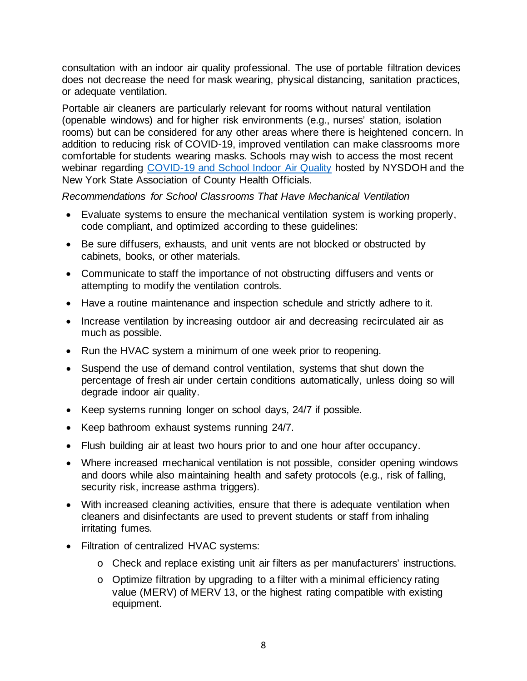consultation with an indoor air quality professional. The use of portable filtration devices does not decrease the need for mask wearing, physical distancing, sanitation practices, or adequate ventilation.

Portable air cleaners are particularly relevant for rooms without natural ventilation (openable windows) and for higher risk environments (e.g., nurses' station, isolation rooms) but can be considered for any other areas where there is heightened concern. In addition to reducing risk of COVID-19, improved ventilation can make classrooms more comfortable for students wearing masks. Schools may wish to access the most recent webinar regarding [COVID-19 and School Indoor Air Quality](https://www.nysacho.org/topic/covid-19-school-indoor-air-quality-technical-assistance-webinar/) hosted by NYSDOH and the New York State Association of County Health Officials.

*Recommendations for School Classrooms That Have Mechanical Ventilation* 

- Evaluate systems to ensure the mechanical ventilation system is working properly, code compliant, and optimized according to these guidelines:
- Be sure diffusers, exhausts, and unit vents are not blocked or obstructed by cabinets, books, or other materials.
- Communicate to staff the importance of not obstructing diffusers and vents or attempting to modify the ventilation controls.
- Have a routine maintenance and inspection schedule and strictly adhere to it.
- Increase ventilation by increasing outdoor air and decreasing recirculated air as much as possible.
- Run the HVAC system a minimum of one week prior to reopening.
- Suspend the use of demand control ventilation, systems that shut down the percentage of fresh air under certain conditions automatically, unless doing so will degrade indoor air quality.
- Keep systems running longer on school days, 24/7 if possible.
- Keep bathroom exhaust systems running 24/7.
- Flush building air at least two hours prior to and one hour after occupancy.
- Where increased mechanical ventilation is not possible, consider opening windows and doors while also maintaining health and safety protocols (e.g., risk of falling, security risk, increase asthma triggers).
- With increased cleaning activities, ensure that there is adequate ventilation when cleaners and disinfectants are used to prevent students or staff from inhaling irritating fumes.
- Filtration of centralized HVAC systems:
	- o Check and replace existing unit air filters as per manufacturers' instructions.
	- o Optimize filtration by upgrading to a filter with a minimal efficiency rating value (MERV) of MERV 13, or the highest rating compatible with existing equipment.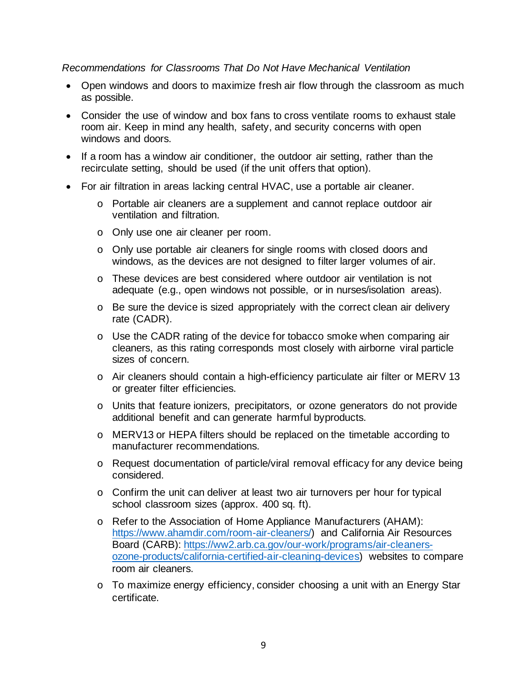#### *Recommendations for Classrooms That Do Not Have Mechanical Ventilation*

- Open windows and doors to maximize fresh air flow through the classroom as much as possible.
- Consider the use of window and box fans to cross ventilate rooms to exhaust stale room air. Keep in mind any health, safety, and security concerns with open windows and doors.
- If a room has a window air conditioner, the outdoor air setting, rather than the recirculate setting, should be used (if the unit offers that option).
- For air filtration in areas lacking central HVAC, use a portable air cleaner.
	- o Portable air cleaners are a supplement and cannot replace outdoor air ventilation and filtration.
	- o Only use one air cleaner per room.
	- o Only use portable air cleaners for single rooms with closed doors and windows, as the devices are not designed to filter larger volumes of air.
	- o These devices are best considered where outdoor air ventilation is not adequate (e.g., open windows not possible, or in nurses/isolation areas).
	- o Be sure the device is sized appropriately with the correct clean air delivery rate (CADR).
	- o Use the CADR rating of the device for tobacco smoke when comparing air cleaners, as this rating corresponds most closely with airborne viral particle sizes of concern.
	- o Air cleaners should contain a high-efficiency particulate air filter or MERV 13 or greater filter efficiencies.
	- o Units that feature ionizers, precipitators, or ozone generators do not provide additional benefit and can generate harmful byproducts.
	- o MERV13 or HEPA filters should be replaced on the timetable according to manufacturer recommendations.
	- o Request documentation of particle/viral removal efficacy for any device being considered.
	- o Confirm the unit can deliver at least two air turnovers per hour for typical school classroom sizes (approx. 400 sq. ft).
	- o Refer to the Association of Home Appliance Manufacturers (AHAM): [https://www.ahamdir.com/room-air-cleaners/\)](https://www.ahamdir.com/room-air-cleaners/) and California Air Resources Board (CARB): [https://ww2.arb.ca.gov/our-work/programs/air-cleaners](https://ww2.arb.ca.gov/our-work/programs/air-cleaners-ozone-products/california-certified-air-cleaning-devices)[ozone-products/california-certified-air-cleaning-devices\)](https://ww2.arb.ca.gov/our-work/programs/air-cleaners-ozone-products/california-certified-air-cleaning-devices) websites to compare room air cleaners.
	- o To maximize energy efficiency, consider choosing a unit with an Energy Star certificate.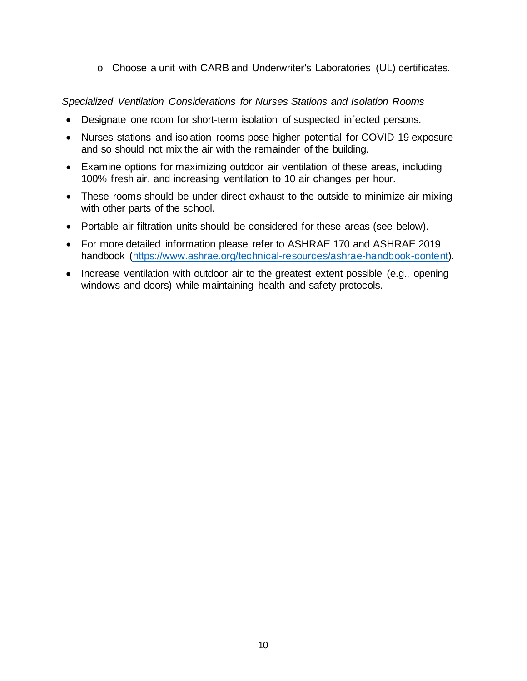o Choose a unit with CARB and Underwriter's Laboratories (UL) certificates.

*Specialized Ventilation Considerations for Nurses Stations and Isolation Rooms* 

- Designate one room for short-term isolation of suspected infected persons.
- Nurses stations and isolation rooms pose higher potential for COVID-19 exposure and so should not mix the air with the remainder of the building.
- Examine options for maximizing outdoor air ventilation of these areas, including 100% fresh air, and increasing ventilation to 10 air changes per hour.
- These rooms should be under direct exhaust to the outside to minimize air mixing with other parts of the school.
- Portable air filtration units should be considered for these areas (see below).
- For more detailed information please refer to ASHRAE 170 and ASHRAE 2019 handbook [\(https://www.ashrae.org/technical-resources/ashrae-handbook-content\).](https://www.ashrae.org/technical-resources/ashrae-handbook-content)
- Increase ventilation with outdoor air to the greatest extent possible (e.g., opening windows and doors) while maintaining health and safety protocols.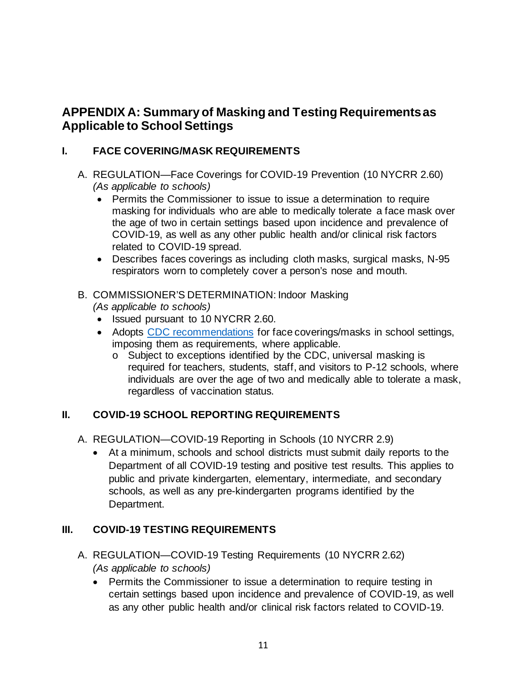# **APPENDIX A: Summary of Masking and Testing Requirements as Applicable to School Settings**

## **I. FACE COVERING/MASK REQUIREMENTS**

- A. REGULATION—Face Coverings for COVID-19 Prevention (10 NYCRR 2.60) *(As applicable to schools)*
	- Permits the Commissioner to issue to issue a determination to require masking for individuals who are able to medically tolerate a face mask over the age of two in certain settings based upon incidence and prevalence of COVID-19, as well as any other public health and/or clinical risk factors related to COVID-19 spread.
	- Describes faces coverings as including cloth masks, surgical masks, N-95 respirators worn to completely cover a person's nose and mouth.

## B. COMMISSIONER'S DETERMINATION: Indoor Masking *(As applicable to schools)*

- Issued pursuant to 10 NYCRR 2.60.
- Adopts [CDC recommendations](https://www.cdc.gov/coronavirus/2019-ncov/community/schools-childcare/k-12-guidance.html) for face coverings/masks in school settings, imposing them as requirements, where applicable.
	- o Subject to exceptions identified by the CDC, universal masking is required for teachers, students, staff, and visitors to P-12 schools, where individuals are over the age of two and medically able to tolerate a mask, regardless of vaccination status.

## **II. COVID-19 SCHOOL REPORTING REQUIREMENTS**

A. REGULATION—COVID-19 Reporting in Schools (10 NYCRR 2.9)

• At a minimum, schools and school districts must submit daily reports to the Department of all COVID-19 testing and positive test results. This applies to public and private kindergarten, elementary, intermediate, and secondary schools, as well as any pre-kindergarten programs identified by the Department.

## **III. COVID-19 TESTING REQUIREMENTS**

- A. REGULATION—COVID-19 Testing Requirements (10 NYCRR 2.62) *(As applicable to schools)*
	- Permits the Commissioner to issue a determination to require testing in certain settings based upon incidence and prevalence of COVID-19, as well as any other public health and/or clinical risk factors related to COVID-19.